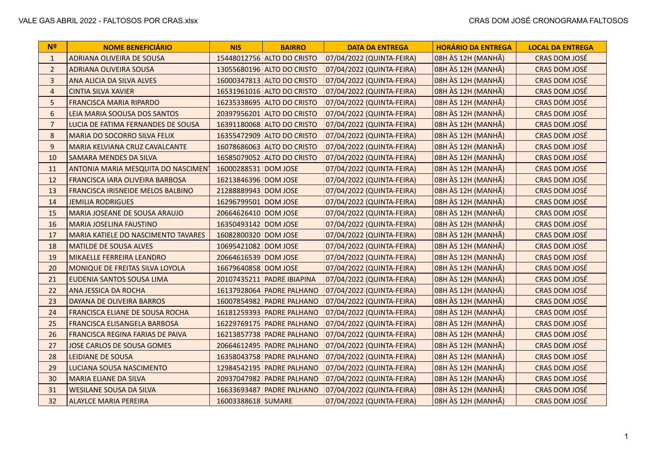| N <sup>2</sup> | <b>NOME BENEFICIÁRIO</b>                   | <b>NIS</b>           | <b>BAIRRO</b>              | <b>DATA DA ENTREGA</b>    | <b>HORÁRIO DA ENTREGA</b> | <b>LOCAL DA ENTREGA</b> |
|----------------|--------------------------------------------|----------------------|----------------------------|---------------------------|---------------------------|-------------------------|
| $\mathbf{1}$   | ADRIANA OLIVEIRA DE SOUSA                  |                      | 15448012756 ALTO DO CRISTO | 07/04/2022 (QUINTA-FEIRA) | 08H ÀS 12H (MANHÃ)        | CRAS DOM JOSÉ           |
| $\overline{2}$ | <b>ADRIANA OLIVEIRA SOUSA</b>              |                      | 13055680196 ALTO DO CRISTO | 07/04/2022 (QUINTA-FEIRA) | 08H ÀS 12H (MANHÃ)        | CRAS DOM JOSÉ           |
| $\mathbf{3}$   | ANA ALICIA DA SILVA ALVES                  |                      | 16000347813 ALTO DO CRISTO | 07/04/2022 (QUINTA-FEIRA) | 08H ÀS 12H (MANHÃ)        | <b>CRAS DOM JOSÉ</b>    |
| $\overline{4}$ | <b>CINTIA SILVA XAVIER</b>                 |                      | 16531961016 ALTO DO CRISTO | 07/04/2022 (QUINTA-FEIRA) | 08H ÀS 12H (MANHÃ)        | CRAS DOM JOSÉ           |
| 5 <sub>1</sub> | <b>FRANCISCA MARIA RIPARDO</b>             |                      | 16235338695 ALTO DO CRISTO | 07/04/2022 (QUINTA-FEIRA) | 08H ÀS 12H (MANHÃ)        | CRAS DOM JOSÉ           |
| 6              | LEIA MARIA SOOUSA DOS SANTOS               |                      | 20397956201 ALTO DO CRISTO | 07/04/2022 (QUINTA-FEIRA) | 08H ÀS 12H (MANHÃ)        | CRAS DOM JOSÉ           |
| $\overline{7}$ | LUCIA DE FATIMA FERNANDES DE SOUSA         |                      | 16391180068 ALTO DO CRISTO | 07/04/2022 (QUINTA-FEIRA) | 08H ÀS 12H (MANHÃ)        | <b>CRAS DOM JOSÉ</b>    |
| 8              | MARIA DO SOCORRO SILVA FELIX               |                      | 16355472909 ALTO DO CRISTO | 07/04/2022 (QUINTA-FEIRA) | 08H ÀS 12H (MANHÃ)        | CRAS DOM JOSÉ           |
| 9              | MARIA KELVIANA CRUZ CAVALCANTE             |                      | 16078686063 ALTO DO CRISTO | 07/04/2022 (QUINTA-FEIRA) | 08H ÀS 12H (MANHÃ)        | <b>CRAS DOM JOSÉ</b>    |
| 10             | SAMARA MENDES DA SILVA                     |                      | 16585079052 ALTO DO CRISTO | 07/04/2022 (QUINTA-FEIRA) | 08H ÀS 12H (MANHÃ)        | <b>CRAS DOM JOSÉ</b>    |
| 11             | ANTONIA MARIA MESQUITA DO NASCIMENT        | 16000288531 DOM JOSE |                            | 07/04/2022 (QUINTA-FEIRA) | 08H ÀS 12H (MANHÃ)        | <b>CRAS DOM JOSÉ</b>    |
| 12             | FRANCISCA IARA OLIVEIRA BARBOSA            | 16213846396 DOM JOSE |                            | 07/04/2022 (QUINTA-FEIRA) | 08H ÀS 12H (MANHÃ)        | CRAS DOM JOSÉ           |
| 13             | <b>FRANCISCA IRISNEIDE MELOS BALBINO</b>   | 21288889943 DOM JOSE |                            | 07/04/2022 (QUINTA-FEIRA) | 08H ÀS 12H (MANHÃ)        | <b>CRAS DOM JOSÉ</b>    |
| 14             | <b>JEMILIA RODRIGUES</b>                   | 16296799501 DOM JOSE |                            | 07/04/2022 (QUINTA-FEIRA) | 08H ÀS 12H (MANHÃ)        | <b>CRAS DOM JOSÉ</b>    |
| 15             | MARIA JOSEANE DE SOUSA ARAUJO              | 20664626410 DOM JOSE |                            | 07/04/2022 (QUINTA-FEIRA) | 08H ÀS 12H (MANHÃ)        | <b>CRAS DOM JOSÉ</b>    |
| 16             | <b>MARIA JOSELINA FAUSTINO</b>             | 16350493142 DOM JOSE |                            | 07/04/2022 (QUINTA-FEIRA) | 08H ÀS 12H (MANHÃ)        | CRAS DOM JOSÉ           |
| 17             | <b>MARIA KATIELE DO NASCIMENTO TAVARES</b> | 16082800320 DOM JOSE |                            | 07/04/2022 (QUINTA-FEIRA) | 08H ÀS 12H (MANHÃ)        | CRAS DOM JOSÉ           |
| 18             | <b>MATILDE DE SOUSA ALVES</b>              | 10695421082 DOM JOSE |                            | 07/04/2022 (QUINTA-FEIRA) | 08H ÀS 12H (MANHÃ)        | <b>CRAS DOM JOSÉ</b>    |
| 19             | MIKAELLE FERREIRA LEANDRO                  | 20664616539 DOM JOSE |                            | 07/04/2022 (QUINTA-FEIRA) | 08H ÀS 12H (MANHÃ)        | CRAS DOM JOSÉ           |
| 20             | MONIQUE DE FREITAS SILVA LOYOLA            | 16679640858 DOM JOSE |                            | 07/04/2022 (QUINTA-FEIRA) | 08H ÀS 12H (MANHÃ)        | CRAS DOM JOSÉ           |
| 21             | EUDENIA SANTOS SOUSA LIMA                  |                      | 20107435211 PADRE IBIAPINA | 07/04/2022 (QUINTA-FEIRA) | 08H ÀS 12H (MANHÃ)        | CRAS DOM JOSÉ           |
| 22             | ANA JESSICA DA ROCHA                       |                      | 16137928064 PADRE PALHANO  | 07/04/2022 (QUINTA-FEIRA) | 08H ÀS 12H (MANHÃ)        | <b>CRAS DOM JOSÉ</b>    |
| 23             | DAYANA DE OLIVEIRA BARROS                  |                      | 16007854982 PADRE PALHANO  | 07/04/2022 (QUINTA-FEIRA) | 08H ÀS 12H (MANHÃ)        | CRAS DOM JOSÉ           |
| 24             | FRANCISCA ELIANE DE SOUSA ROCHA            |                      | 16181259393 PADRE PALHANO  | 07/04/2022 (QUINTA-FEIRA) | 08H ÀS 12H (MANHÃ)        | <b>CRAS DOM JOSÉ</b>    |
| 25             | FRANCISCA ELISANGELA BARBOSA               |                      | 16229769175 PADRE PALHANO  | 07/04/2022 (QUINTA-FEIRA) | 08H ÀS 12H (MANHÃ)        | CRAS DOM JOSÉ           |
| 26             | FRANCISCA REGINA FARIAS DE PAIVA           |                      | 16213857738 PADRE PALHANO  | 07/04/2022 (QUINTA-FEIRA) | 08H ÀS 12H (MANHÃ)        | <b>CRAS DOM JOSÉ</b>    |
| 27             | <b>JOSE CARLOS DE SOUSA GOMES</b>          |                      | 20664612495 PADRE PALHANO  | 07/04/2022 (QUINTA-FEIRA) | 08H ÀS 12H (MANHÃ)        | <b>CRAS DOM JOSÉ</b>    |
| 28             | <b>LEIDIANE DE SOUSA</b>                   |                      | 16358043758 PADRE PALHANO  | 07/04/2022 (QUINTA-FEIRA) | 08H ÀS 12H (MANHÃ)        | <b>CRAS DOM JOSÉ</b>    |
| 29             | LUCIANA SOUSA NASCIMENTO                   |                      | 12984542195 PADRE PALHANO  | 07/04/2022 (QUINTA-FEIRA) | 08H ÀS 12H (MANHÃ)        | <b>CRAS DOM JOSÉ</b>    |
| 30             | <b>MARIA ELIANE DA SILVA</b>               |                      | 20937047982 PADRE PALHANO  | 07/04/2022 (QUINTA-FEIRA) | 08H ÀS 12H (MANHÃ)        | <b>CRAS DOM JOSÉ</b>    |
| 31             | <b>WESILANE SOUSA DA SILVA</b>             |                      | 16633693487 PADRE PALHANO  | 07/04/2022 (QUINTA-FEIRA) | 08H ÀS 12H (MANHÃ)        | <b>CRAS DOM JOSÉ</b>    |
| 32             | <b>ALAYLCE MARIA PEREIRA</b>               | 16003388618 SUMARE   |                            | 07/04/2022 (QUINTA-FEIRA) | 08H ÀS 12H (MANHÃ)        | <b>CRAS DOM JOSÉ</b>    |